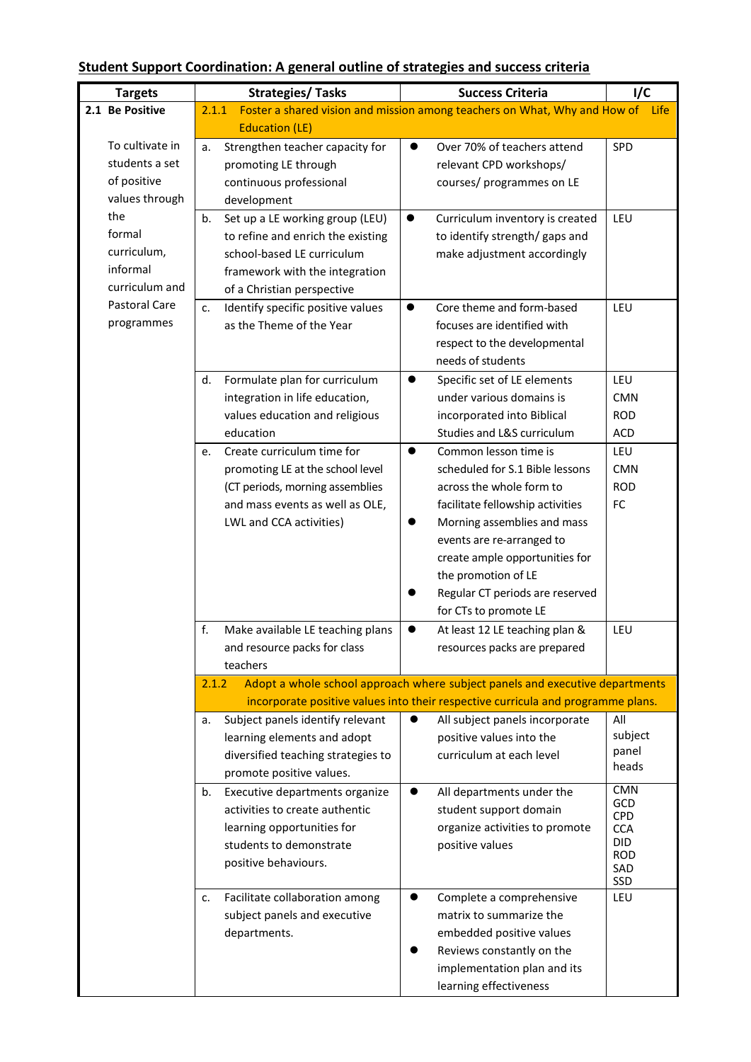## **Student Support Coordination: A general outline of strategies and success criteria**

| <b>Targets</b>  | <b>Strategies/ Tasks</b>                                                              | <b>Success Criteria</b>                                                   | I/C               |  |  |  |  |
|-----------------|---------------------------------------------------------------------------------------|---------------------------------------------------------------------------|-------------------|--|--|--|--|
| 2.1 Be Positive | 2.1.1                                                                                 | Foster a shared vision and mission among teachers on What, Why and How of | Life              |  |  |  |  |
|                 | <b>Education (LE)</b>                                                                 |                                                                           |                   |  |  |  |  |
| To cultivate in | Strengthen teacher capacity for<br>a.                                                 | Over 70% of teachers attend<br>$\bullet$                                  | SPD               |  |  |  |  |
| students a set  | promoting LE through                                                                  | relevant CPD workshops/                                                   |                   |  |  |  |  |
| of positive     | continuous professional                                                               | courses/ programmes on LE                                                 |                   |  |  |  |  |
| values through  | development                                                                           |                                                                           |                   |  |  |  |  |
| the             | Set up a LE working group (LEU)<br>b.                                                 | $\bullet$<br>Curriculum inventory is created                              | LEU               |  |  |  |  |
| formal          | to refine and enrich the existing                                                     | to identify strength/ gaps and                                            |                   |  |  |  |  |
| curriculum,     | school-based LE curriculum                                                            | make adjustment accordingly                                               |                   |  |  |  |  |
| informal        | framework with the integration                                                        |                                                                           |                   |  |  |  |  |
| curriculum and  | of a Christian perspective                                                            |                                                                           |                   |  |  |  |  |
| Pastoral Care   | Identify specific positive values<br>c.                                               | Core theme and form-based<br>$\bullet$                                    | LEU               |  |  |  |  |
| programmes      | as the Theme of the Year                                                              | focuses are identified with                                               |                   |  |  |  |  |
|                 |                                                                                       | respect to the developmental                                              |                   |  |  |  |  |
|                 |                                                                                       | needs of students                                                         |                   |  |  |  |  |
|                 | Formulate plan for curriculum<br>d.                                                   | Specific set of LE elements<br>$\bullet$                                  | LEU               |  |  |  |  |
|                 | integration in life education,                                                        | under various domains is                                                  | <b>CMN</b>        |  |  |  |  |
|                 | values education and religious                                                        | incorporated into Biblical                                                | <b>ROD</b>        |  |  |  |  |
|                 | education                                                                             | Studies and L&S curriculum                                                | ACD               |  |  |  |  |
|                 | Create curriculum time for<br>e.                                                      | Common lesson time is<br>$\bullet$                                        | LEU               |  |  |  |  |
|                 | promoting LE at the school level                                                      | scheduled for S.1 Bible lessons                                           | <b>CMN</b>        |  |  |  |  |
|                 | (CT periods, morning assemblies                                                       | across the whole form to                                                  | <b>ROD</b>        |  |  |  |  |
|                 | and mass events as well as OLE,                                                       | facilitate fellowship activities                                          | FC                |  |  |  |  |
|                 | LWL and CCA activities)                                                               | Morning assemblies and mass<br>$\bullet$                                  |                   |  |  |  |  |
|                 |                                                                                       | events are re-arranged to                                                 |                   |  |  |  |  |
|                 |                                                                                       | create ample opportunities for                                            |                   |  |  |  |  |
|                 |                                                                                       | the promotion of LE                                                       |                   |  |  |  |  |
|                 |                                                                                       | Regular CT periods are reserved                                           |                   |  |  |  |  |
|                 |                                                                                       | for CTs to promote LE                                                     |                   |  |  |  |  |
|                 | f.<br>Make available LE teaching plans                                                | $\bullet$<br>At least 12 LE teaching plan &                               | LEU               |  |  |  |  |
|                 | and resource packs for class                                                          | resources packs are prepared                                              |                   |  |  |  |  |
|                 | teachers                                                                              |                                                                           |                   |  |  |  |  |
|                 | Adopt a whole school approach where subject panels and executive departments<br>2.1.2 |                                                                           |                   |  |  |  |  |
|                 | incorporate positive values into their respective curricula and programme plans.      |                                                                           |                   |  |  |  |  |
|                 | Subject panels identify relevant<br>a.                                                | All subject panels incorporate<br>$\bullet$                               | All               |  |  |  |  |
|                 | learning elements and adopt                                                           | positive values into the                                                  | subject           |  |  |  |  |
|                 | diversified teaching strategies to                                                    | curriculum at each level                                                  | panel<br>heads    |  |  |  |  |
|                 | promote positive values.                                                              |                                                                           |                   |  |  |  |  |
|                 | Executive departments organize<br>b.                                                  | All departments under the                                                 | <b>CMN</b><br>GCD |  |  |  |  |
|                 | activities to create authentic                                                        | student support domain                                                    | <b>CPD</b>        |  |  |  |  |
|                 | learning opportunities for                                                            | organize activities to promote                                            | <b>CCA</b>        |  |  |  |  |
|                 | students to demonstrate                                                               | positive values                                                           | DID<br><b>ROD</b> |  |  |  |  |
|                 | positive behaviours.                                                                  |                                                                           | SAD               |  |  |  |  |
|                 |                                                                                       |                                                                           | SSD               |  |  |  |  |
|                 | Facilitate collaboration among<br>c.                                                  | Complete a comprehensive<br>$\bullet$                                     | LEU               |  |  |  |  |
|                 | subject panels and executive                                                          | matrix to summarize the                                                   |                   |  |  |  |  |
|                 | departments.                                                                          | embedded positive values                                                  |                   |  |  |  |  |
|                 |                                                                                       | Reviews constantly on the                                                 |                   |  |  |  |  |
|                 |                                                                                       | implementation plan and its                                               |                   |  |  |  |  |
|                 |                                                                                       | learning effectiveness                                                    |                   |  |  |  |  |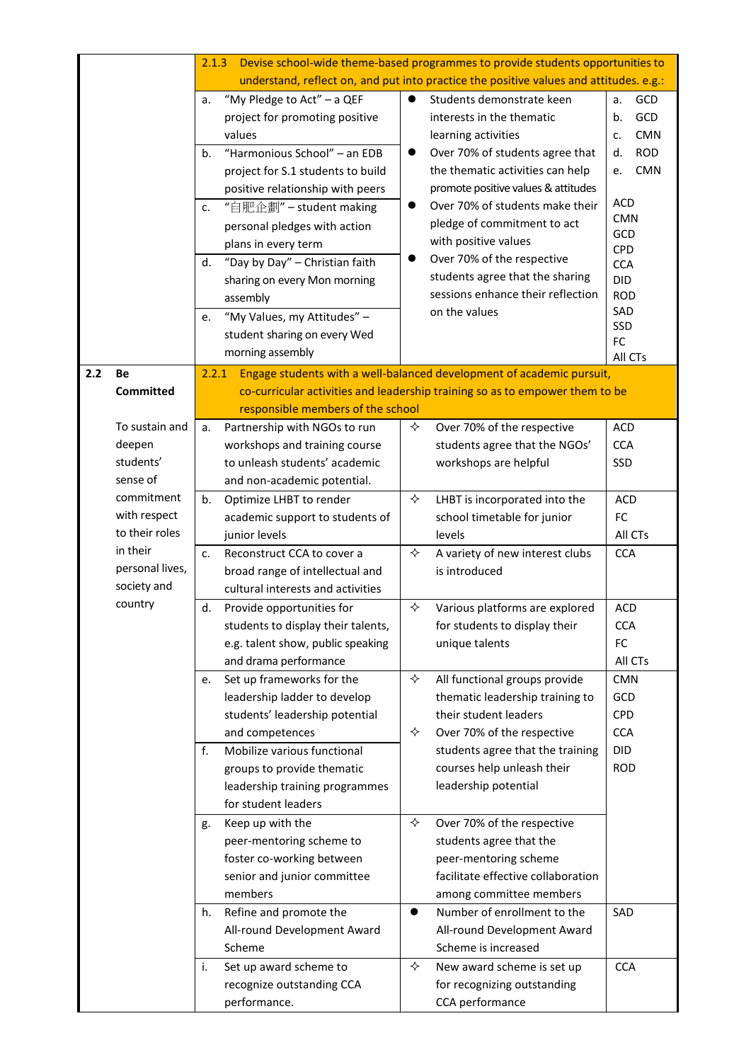|     |                  | Devise school-wide theme-based programmes to provide students opportunities to<br>2.1.3 |                                    |           |                                                                              |                   |  |
|-----|------------------|-----------------------------------------------------------------------------------------|------------------------------------|-----------|------------------------------------------------------------------------------|-------------------|--|
|     |                  | understand, reflect on, and put into practice the positive values and attitudes. e.g.:  |                                    |           |                                                                              |                   |  |
|     |                  | a.                                                                                      | "My Pledge to Act" - a QEF         | $\bullet$ | Students demonstrate keen                                                    | GCD<br>a.         |  |
|     |                  |                                                                                         | project for promoting positive     |           | interests in the thematic                                                    | GCD<br>b.         |  |
|     |                  |                                                                                         | values                             |           | learning activities                                                          | <b>CMN</b><br>c.  |  |
|     |                  | b.                                                                                      | "Harmonious School" - an EDB       | $\bullet$ | Over 70% of students agree that                                              | <b>ROD</b><br>d.  |  |
|     |                  |                                                                                         | project for S.1 students to build  |           | the thematic activities can help                                             | <b>CMN</b><br>e.  |  |
|     |                  |                                                                                         | positive relationship with peers   |           | promote positive values & attitudes                                          |                   |  |
|     |                  | c.                                                                                      | "自肥企劃" – student making            | $\bullet$ | Over 70% of students make their                                              | <b>ACD</b>        |  |
|     |                  |                                                                                         | personal pledges with action       |           | pledge of commitment to act                                                  | <b>CMN</b><br>GCD |  |
|     |                  |                                                                                         | plans in every term                |           | with positive values                                                         | CPD               |  |
|     |                  | d.                                                                                      | "Day by Day" - Christian faith     | $\bullet$ | Over 70% of the respective                                                   | <b>CCA</b>        |  |
|     |                  |                                                                                         | sharing on every Mon morning       |           | students agree that the sharing                                              | <b>DID</b>        |  |
|     |                  |                                                                                         | assembly                           |           | sessions enhance their reflection                                            | <b>ROD</b>        |  |
|     |                  | e.                                                                                      | "My Values, my Attitudes" -        |           | on the values                                                                | SAD               |  |
|     |                  |                                                                                         | student sharing on every Wed       |           |                                                                              | SSD<br>FC         |  |
|     |                  |                                                                                         | morning assembly                   |           |                                                                              | All CTs           |  |
| 2.2 | Be               | 2.2.1                                                                                   |                                    |           | Engage students with a well-balanced development of academic pursuit,        |                   |  |
|     | <b>Committed</b> |                                                                                         |                                    |           | co-curricular activities and leadership training so as to empower them to be |                   |  |
|     |                  |                                                                                         | responsible members of the school  |           |                                                                              |                   |  |
|     | To sustain and   | a.                                                                                      | Partnership with NGOs to run       | ✧         | Over 70% of the respective                                                   | <b>ACD</b>        |  |
|     | deepen           |                                                                                         | workshops and training course      |           | students agree that the NGOs'                                                | <b>CCA</b>        |  |
|     | students'        |                                                                                         | to unleash students' academic      |           | workshops are helpful                                                        | SSD               |  |
|     | sense of         |                                                                                         | and non-academic potential.        |           |                                                                              |                   |  |
|     | commitment       | b.                                                                                      | Optimize LHBT to render            | ✧         | LHBT is incorporated into the                                                | <b>ACD</b>        |  |
|     | with respect     |                                                                                         | academic support to students of    |           | school timetable for junior                                                  | <b>FC</b>         |  |
|     | to their roles   |                                                                                         | junior levels                      |           | levels                                                                       | All CTs           |  |
|     | in their         | C <sub>1</sub>                                                                          | Reconstruct CCA to cover a         | ✧         | A variety of new interest clubs                                              | <b>CCA</b>        |  |
|     | personal lives,  |                                                                                         | broad range of intellectual and    |           | is introduced                                                                |                   |  |
|     | society and      |                                                                                         | cultural interests and activities  |           |                                                                              |                   |  |
|     | country          | d.                                                                                      | Provide opportunities for          | ✧         | Various platforms are explored                                               | <b>ACD</b>        |  |
|     |                  |                                                                                         | students to display their talents, |           | for students to display their                                                | <b>CCA</b>        |  |
|     |                  |                                                                                         | e.g. talent show, public speaking  |           | unique talents                                                               | FC                |  |
|     |                  |                                                                                         | and drama performance              |           |                                                                              | All CTs           |  |
|     |                  | e.                                                                                      | Set up frameworks for the          | ✧         | All functional groups provide                                                | <b>CMN</b>        |  |
|     |                  |                                                                                         | leadership ladder to develop       |           | thematic leadership training to                                              | GCD               |  |
|     |                  |                                                                                         | students' leadership potential     |           | their student leaders                                                        | <b>CPD</b>        |  |
|     |                  |                                                                                         | and competences                    | ✧         | Over 70% of the respective                                                   | <b>CCA</b>        |  |
|     |                  | f.                                                                                      | Mobilize various functional        |           | students agree that the training                                             | <b>DID</b>        |  |
|     |                  |                                                                                         | groups to provide thematic         |           | courses help unleash their                                                   | <b>ROD</b>        |  |
|     |                  |                                                                                         | leadership training programmes     |           | leadership potential                                                         |                   |  |
|     |                  |                                                                                         | for student leaders                |           |                                                                              |                   |  |
|     |                  | g.                                                                                      | Keep up with the                   | ✧         | Over 70% of the respective                                                   |                   |  |
|     |                  |                                                                                         | peer-mentoring scheme to           |           | students agree that the                                                      |                   |  |
|     |                  |                                                                                         | foster co-working between          |           | peer-mentoring scheme                                                        |                   |  |
|     |                  |                                                                                         | senior and junior committee        |           | facilitate effective collaboration                                           |                   |  |
|     |                  |                                                                                         | members                            |           | among committee members                                                      |                   |  |
|     |                  | h.                                                                                      | Refine and promote the             | $\bullet$ | Number of enrollment to the                                                  | SAD               |  |
|     |                  |                                                                                         | All-round Development Award        |           | All-round Development Award                                                  |                   |  |
|     |                  |                                                                                         | Scheme                             |           | Scheme is increased                                                          |                   |  |
|     |                  | i.                                                                                      | Set up award scheme to             | ✧         | New award scheme is set up                                                   | <b>CCA</b>        |  |
|     |                  |                                                                                         | recognize outstanding CCA          |           | for recognizing outstanding                                                  |                   |  |
|     |                  |                                                                                         | performance.                       |           | CCA performance                                                              |                   |  |
|     |                  |                                                                                         |                                    |           |                                                                              |                   |  |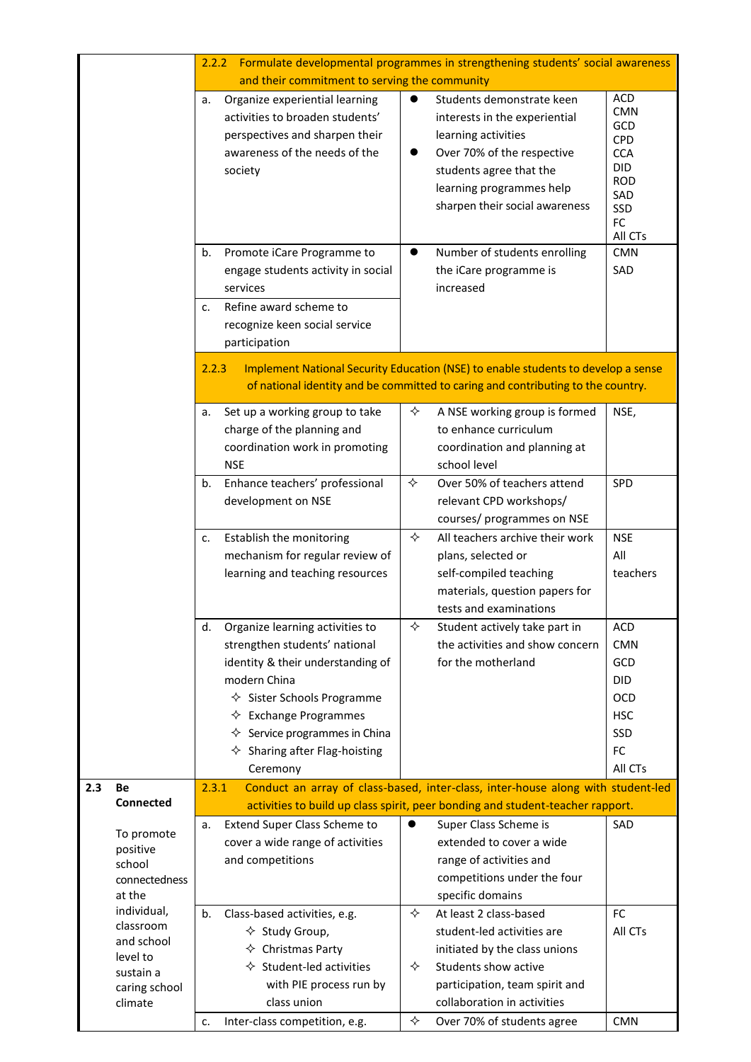|     |                                                                                  | Formulate developmental programmes in strengthening students' social awareness<br>2.2.2                                                                                        |                                                                                                                                                                                                                                                                                              |                |                                                                                                                                                                                                          |                                                                                                      |  |  |
|-----|----------------------------------------------------------------------------------|--------------------------------------------------------------------------------------------------------------------------------------------------------------------------------|----------------------------------------------------------------------------------------------------------------------------------------------------------------------------------------------------------------------------------------------------------------------------------------------|----------------|----------------------------------------------------------------------------------------------------------------------------------------------------------------------------------------------------------|------------------------------------------------------------------------------------------------------|--|--|
|     | and their commitment to serving the community                                    |                                                                                                                                                                                |                                                                                                                                                                                                                                                                                              |                |                                                                                                                                                                                                          |                                                                                                      |  |  |
|     |                                                                                  | а.<br>society                                                                                                                                                                  | Organize experiential learning<br>activities to broaden students'<br>perspectives and sharpen their<br>awareness of the needs of the                                                                                                                                                         | $\bullet$<br>● | Students demonstrate keen<br>interests in the experiential<br>learning activities<br>Over 70% of the respective<br>students agree that the<br>learning programmes help<br>sharpen their social awareness | <b>ACD</b><br><b>CMN</b><br>GCD<br><b>CPD</b><br><b>CCA</b><br>DID<br><b>ROD</b><br>SAD<br>SSD<br>FC |  |  |
|     |                                                                                  |                                                                                                                                                                                |                                                                                                                                                                                                                                                                                              |                |                                                                                                                                                                                                          | All CTs                                                                                              |  |  |
|     |                                                                                  | b.<br>services<br>c.<br>participation                                                                                                                                          | Promote iCare Programme to<br>engage students activity in social<br>Refine award scheme to<br>recognize keen social service                                                                                                                                                                  |                | Number of students enrolling<br>the iCare programme is<br>increased                                                                                                                                      | <b>CMN</b><br>SAD                                                                                    |  |  |
|     |                                                                                  | 2.2.3<br>Implement National Security Education (NSE) to enable students to develop a sense<br>of national identity and be committed to caring and contributing to the country. |                                                                                                                                                                                                                                                                                              |                |                                                                                                                                                                                                          |                                                                                                      |  |  |
|     |                                                                                  | а.<br><b>NSE</b>                                                                                                                                                               | Set up a working group to take<br>charge of the planning and<br>coordination work in promoting                                                                                                                                                                                               | ✧              | A NSE working group is formed<br>to enhance curriculum<br>coordination and planning at<br>school level                                                                                                   | NSE,                                                                                                 |  |  |
|     |                                                                                  | b.                                                                                                                                                                             | Enhance teachers' professional<br>development on NSE                                                                                                                                                                                                                                         | ✧              | Over 50% of teachers attend<br>relevant CPD workshops/<br>courses/ programmes on NSE                                                                                                                     | SPD                                                                                                  |  |  |
|     |                                                                                  | c.                                                                                                                                                                             | Establish the monitoring<br>mechanism for regular review of<br>learning and teaching resources                                                                                                                                                                                               | ✧              | All teachers archive their work<br>plans, selected or<br>self-compiled teaching<br>materials, question papers for<br>tests and examinations                                                              | <b>NSE</b><br>All<br>teachers                                                                        |  |  |
|     |                                                                                  | d.<br>modern China                                                                                                                                                             | Organize learning activities to<br>strengthen students' national<br>identity & their understanding of<br>$\diamond$ Sister Schools Programme<br>$\Leftrightarrow$ Exchange Programmes<br>$\Leftrightarrow$ Service programmes in China<br>$\diamond$ Sharing after Flag-hoisting<br>Ceremony | ✧              | Student actively take part in<br>the activities and show concern<br>for the motherland                                                                                                                   | <b>ACD</b><br><b>CMN</b><br>GCD<br><b>DID</b><br><b>OCD</b><br><b>HSC</b><br>SSD<br>FC<br>All CTs    |  |  |
| 2.3 | Be                                                                               | Conduct an array of class-based, inter-class, inter-house along with student-led<br>2.3.1                                                                                      |                                                                                                                                                                                                                                                                                              |                |                                                                                                                                                                                                          |                                                                                                      |  |  |
|     | <b>Connected</b>                                                                 |                                                                                                                                                                                |                                                                                                                                                                                                                                                                                              |                | activities to build up class spirit, peer bonding and student-teacher rapport.                                                                                                                           |                                                                                                      |  |  |
|     | To promote<br>positive<br>school<br>connectedness<br>at the                      | а.                                                                                                                                                                             | Extend Super Class Scheme to<br>cover a wide range of activities<br>and competitions                                                                                                                                                                                                         | $\bullet$      | Super Class Scheme is<br>extended to cover a wide<br>range of activities and<br>competitions under the four<br>specific domains                                                                          | SAD                                                                                                  |  |  |
|     | individual,<br>classroom<br>and school<br>level to<br>sustain a<br>caring school | b.                                                                                                                                                                             | Class-based activities, e.g.<br>$\diamond$ Study Group,<br>$\diamond$ Christmas Party<br>$\Diamond$ Student-led activities<br>with PIE process run by                                                                                                                                        | ✧<br>✧         | At least 2 class-based<br>student-led activities are<br>initiated by the class unions<br>Students show active<br>participation, team spirit and                                                          | FC<br>All CTs                                                                                        |  |  |
|     | climate                                                                          | c.                                                                                                                                                                             | class union<br>Inter-class competition, e.g.                                                                                                                                                                                                                                                 | ✧              | collaboration in activities<br>Over 70% of students agree                                                                                                                                                | <b>CMN</b>                                                                                           |  |  |